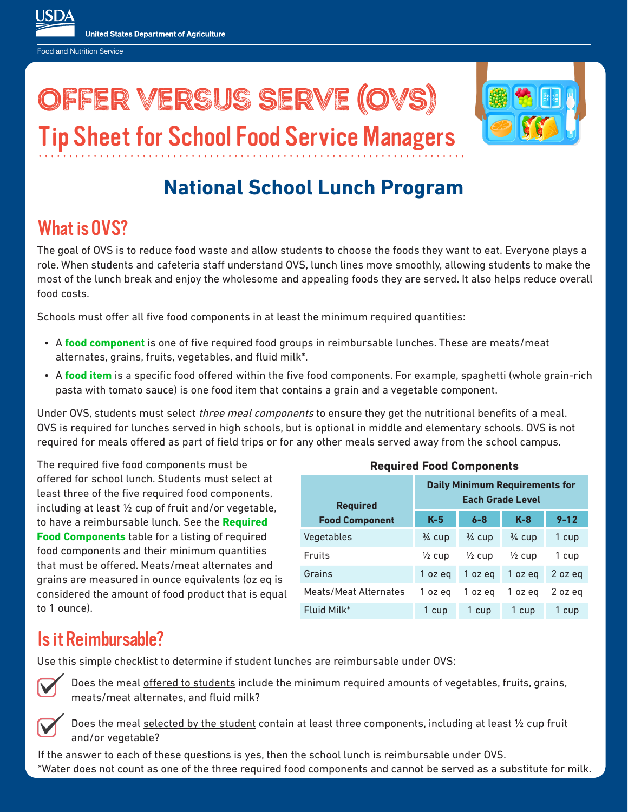Food and Nutrition Service

# Offer Versus Serve (OVS)



Tip Sheet for School Food Service Managers

# **National School Lunch Program**

### What is OVS?

The goal of OVS is to reduce food waste and allow students to choose the foods they want to eat. Everyone plays a role. When students and cafeteria staff understand OVS, lunch lines move smoothly, allowing students to make the most of the lunch break and enjoy the wholesome and appealing foods they are served. It also helps reduce overall food costs.

Schools must offer all five food components in at least the minimum required quantities:

- A **food component** is one of five required food groups in reimbursable lunches. These are meats/meat alternates, grains, fruits, vegetables, and fluid milk\*.
- A **food item** is a specific food offered within the five food components. For example, spaghetti (whole grain-rich pasta with tomato sauce) is one food item that contains a grain and a vegetable component.

Under OVS, students must select *three meal components* to ensure they get the nutritional benefits of a meal. OVS is required for lunches served in high schools, but is optional in middle and elementary schools. OVS is not required for meals offered as part of field trips or for any other meals served away from the school campus.

The required five food components must be offered for school lunch. Students must select at least three of the five required food components, including at least ½ cup of fruit and/or vegetable, to have a reimbursable lunch. See the **Required Food Components** table for a listing of required food components and their minimum quantities that must be offered. Meats/meat alternates and grains are measured in ounce equivalents (oz eq is considered the amount of food product that is equal to 1 ounce).

| <b>Required Food Components</b> |                                                                  |                   |                   |          |  |
|---------------------------------|------------------------------------------------------------------|-------------------|-------------------|----------|--|
| <b>Required</b>                 | <b>Daily Minimum Requirements for</b><br><b>Each Grade Level</b> |                   |                   |          |  |
| <b>Food Component</b>           | $K-5$                                                            | $6 - 8$           | $K-8$             | $9 - 12$ |  |
| Vegetables                      | $\frac{3}{4}$ cup                                                | $\frac{3}{4}$ cup | $\frac{3}{4}$ cup | 1 cup    |  |
| Fruits                          | $\frac{1}{2}$ cup                                                | $\frac{1}{2}$ cup | $\frac{1}{2}$ cup | 1 cup    |  |
| Grains                          | 1 oz eg                                                          | 1 oz eg           | 1 oz eg           | 2 oz eq  |  |
| <b>Meats/Meat Alternates</b>    | 1 oz eg                                                          | 1 oz eg           | 1 oz eg           | 2 oz eg  |  |
| Fluid Milk*                     | 1 cup                                                            | 1 cup             | 1 cup             | 1 cup    |  |

#### Is it Reimbursable?

Use this simple checklist to determine if student lunches are reimbursable under OVS:



Does the meal offered to students include the minimum required amounts of vegetables, fruits, grains, meats/meat alternates, and fluid milk?



Does the meal selected by the student contain at least three components, including at least 1/2 cup fruit and/or vegetable?

If the answer to each of these questions is yes, then the school lunch is reimbursable under OVS. \*Water does not count as one of the three required food components and cannot be served as a substitute for milk.